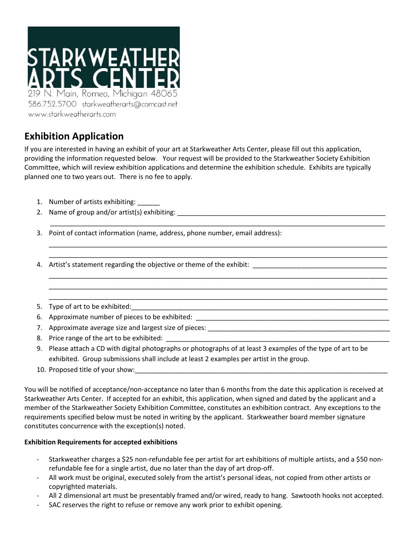

## **Exhibition Application**

If you are interested in having an exhibit of your art at Starkweather Arts Center, please fill out this application, providing the information requested below. Your request will be provided to the Starkweather Society Exhibition Committee, which will review exhibition applications and determine the exhibition schedule. Exhibits are typically planned one to two years out. There is no fee to apply.

\_\_\_\_\_\_\_\_\_\_\_\_\_\_\_\_\_\_\_\_\_\_\_\_\_\_\_\_\_\_\_\_\_\_\_\_\_\_\_\_\_\_\_\_\_\_\_\_\_\_\_\_\_\_\_\_\_\_\_\_\_\_\_\_\_\_\_\_\_\_\_\_\_\_\_\_\_\_\_\_\_\_\_\_\_\_\_\_\_\_

\_\_\_\_\_\_\_\_\_\_\_\_\_\_\_\_\_\_\_\_\_\_\_\_\_\_\_\_\_\_\_\_\_\_\_\_\_\_\_\_\_\_\_\_\_\_\_\_\_\_\_\_\_\_\_\_\_\_\_\_\_\_\_\_\_\_\_\_\_\_\_\_\_\_\_\_\_\_\_\_\_\_\_\_\_\_\_\_\_\_\_ \_\_\_\_\_\_\_\_\_\_\_\_\_\_\_\_\_\_\_\_\_\_\_\_\_\_\_\_\_\_\_\_\_\_\_\_\_\_\_\_\_\_\_\_\_\_\_\_\_\_\_\_\_\_\_\_\_\_\_\_\_\_\_\_\_\_\_\_\_\_\_\_\_\_\_\_\_\_\_\_\_\_\_\_\_\_\_\_\_\_\_

\_\_\_\_\_\_\_\_\_\_\_\_\_\_\_\_\_\_\_\_\_\_\_\_\_\_\_\_\_\_\_\_\_\_\_\_\_\_\_\_\_\_\_\_\_\_\_\_\_\_\_\_\_\_\_\_\_\_\_\_\_\_\_\_\_\_\_\_\_\_\_\_\_\_\_\_\_\_\_\_\_\_\_\_\_\_\_\_\_\_\_ \_\_\_\_\_\_\_\_\_\_\_\_\_\_\_\_\_\_\_\_\_\_\_\_\_\_\_\_\_\_\_\_\_\_\_\_\_\_\_\_\_\_\_\_\_\_\_\_\_\_\_\_\_\_\_\_\_\_\_\_\_\_\_\_\_\_\_\_\_\_\_\_\_\_\_\_\_\_\_\_\_\_\_\_\_\_\_\_\_\_\_ \_\_\_\_\_\_\_\_\_\_\_\_\_\_\_\_\_\_\_\_\_\_\_\_\_\_\_\_\_\_\_\_\_\_\_\_\_\_\_\_\_\_\_\_\_\_\_\_\_\_\_\_\_\_\_\_\_\_\_\_\_\_\_\_\_\_\_\_\_\_\_\_\_\_\_\_\_\_\_\_\_\_\_\_\_\_\_\_\_\_\_

- 1. Number of artists exhibiting: \_\_\_\_\_\_
- 2. Name of group and/or artist(s) exhibiting: \_\_\_\_\_\_\_\_\_\_\_\_\_\_\_\_\_\_\_\_\_\_\_\_\_\_\_\_\_\_\_\_\_\_\_\_\_\_\_\_\_\_\_\_\_\_\_\_\_\_\_\_\_\_\_\_

3. Point of contact information (name, address, phone number, email address):

4. Artist's statement regarding the objective or theme of the exhibit:

- 5. Type of art to be exhibited:
- 6. Approximate number of pieces to be exhibited: \_\_\_\_\_\_\_\_\_\_\_\_\_\_\_\_\_\_\_\_\_\_\_\_\_\_\_\_\_\_\_\_
- 7. Approximate average size and largest size of pieces: \_\_\_\_\_\_\_\_\_\_\_\_\_\_\_\_\_\_\_\_\_\_\_\_
- 8. Price range of the art to be exhibited:
- 9. Please attach a CD with digital photographs or photographs of at least 3 examples of the type of art to be exhibited. Group submissions shall include at least 2 examples per artist in the group.
- 10. Proposed title of your show:

You will be notified of acceptance/non-acceptance no later than 6 months from the date this application is received at Starkweather Arts Center. If accepted for an exhibit, this application, when signed and dated by the applicant and a member of the Starkweather Society Exhibition Committee, constitutes an exhibition contract. Any exceptions to the requirements specified below must be noted in writing by the applicant. Starkweather board member signature constitutes concurrence with the exception(s) noted.

## **Exhibition Requirements for accepted exhibitions**

- Starkweather charges a \$25 non-refundable fee per artist for art exhibitions of multiple artists, and a \$50 nonrefundable fee for a single artist, due no later than the day of art drop-off.
- All work must be original, executed solely from the artist's personal ideas, not copied from other artists or copyrighted materials.
- All 2 dimensional art must be presentably framed and/or wired, ready to hang. Sawtooth hooks not accepted.
- SAC reserves the right to refuse or remove any work prior to exhibit opening.